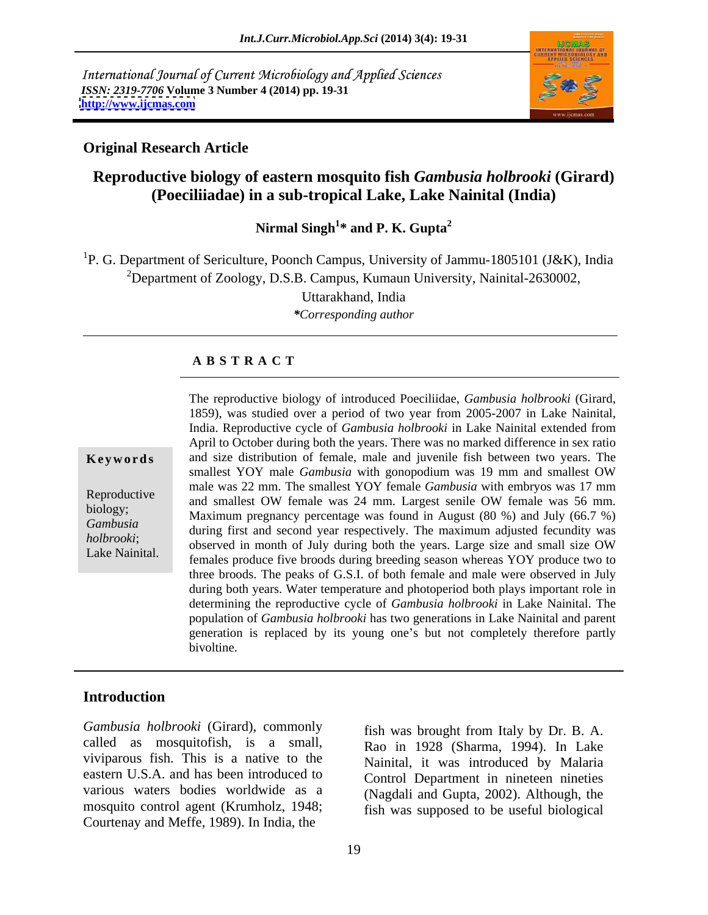International Journal of Current Microbiology and Applied Sciences *ISSN: 2319-7706* **Volume 3 Number 4 (2014) pp. 19-31 <http://www.ijcmas.com>**



### **Original Research Article**

# **Reproductive biology of eastern mosquito fish** *Gambusia holbrooki* **(Girard) (Poeciliiadae) in a sub-tropical Lake, Lake Nainital (India)**

Nirmal Singh<sup>1</sup>\* and P. K. Gupta<sup>2</sup> **\* and P. K. Gupta<sup>2</sup>**

<sup>1</sup>P. G. Department of Sericulture, Poonch Campus, University of Jammu-1805101 (J&K), India <sup>2</sup>Department of Zoology, D.S.B. Campus, Kumaun University, Nainital-2630002,

Uttarakhand, India

*\*Corresponding author* 

### **A B S T R A C T**

**Keywords** and size distribution of female, male and juvenile fish between two years. The Reproductive and smallest OW female was 24 mm. Largest senile OW female was 56 mm. biology;<br>
Maximum pregnancy percentage was found in August (80 %) and July (66.7 %) *Gambusia* during first and second year respectively. The maximum adjusted fecundity was during first and second year respectively. The maximum adjusted fecundity was *holbrooki*;<br>
observed in month of July during both the years. Large size and small size OW Lake Nainital. **Females produce five broods during breeding season whereas YOY** produce two to The reproductive biology of introduced Poeciliidae, *Gambusia holbrooki* (Girard, 1859), was studied over a period of two year from 2005-2007 in Lake Nainital, India. Reproductive cycle of *Gambusia holbrooki* in Lake Nainital extended from April to October during both the years. There was no marked difference in sex ratio smallest YOY male *Gambusia* with gonopodium was 19 mm and smallest OW male was 22 mm. The smallest YOY female *Gambusia* with embryos was 17 mm three broods. The peaks of G.S.I. of both female and male were observed in July during both years. Water temperature and photoperiod both plays important role in determining the reproductive cycle of *Gambusia holbrooki* in Lake Nainital. The population of *Gambusia holbrooki* has two generations in Lake Nainital and parent generation is replaced by its young one's but not completely therefore partly bivoltine.

### **Introduction**

*Gambusia holbrooki* (Girard), commonly called as mosquitofish, is a small, viviparous fish. This is a native to the Nainital, it was introduced by Malaria eastern U.S.A. and has been introduced to various waters bodies worldwide as a (Nagdali and Gupta, 2002). Although, the mosquito control agent (Krumholz, 1948; Courtenay and Meffe, 1989). In India, the

fish was brought from Italy by Dr. B. A. Rao in 1928 (Sharma, 1994). In Lake Control Department in nineteen nineties fish was supposed to be useful biological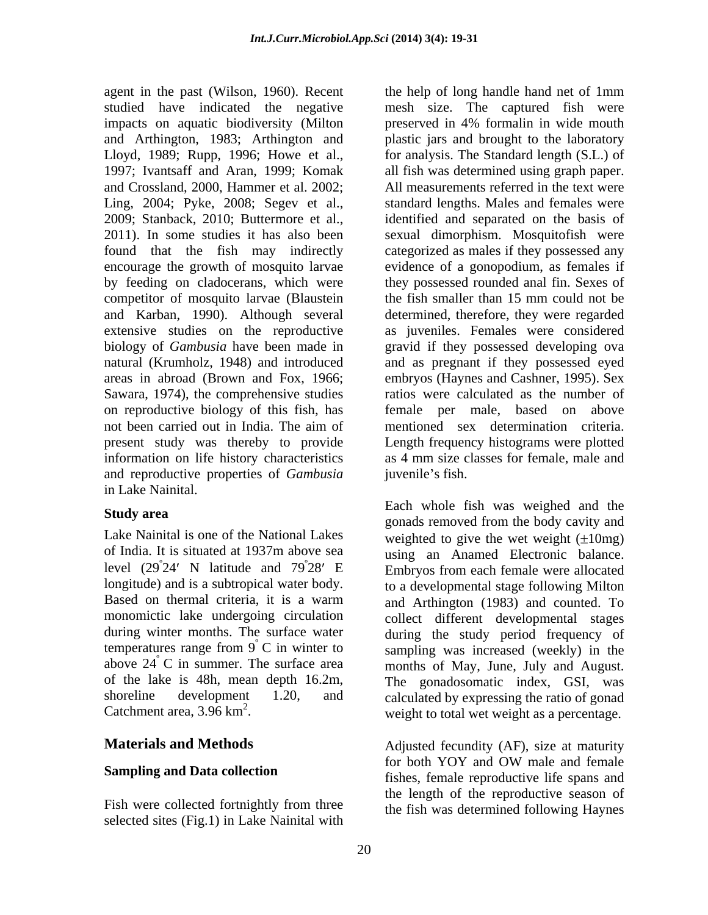impacts on aquatic biodiversity (Milton preserved in 4% formalin in wide mouth encourage the growth of mosquito larvae competitor of mosquito larvae (Blaustein the fish smaller than 15 mm could not be Sawara, 1974), the comprehensive studies information on life history characteristics and reproductive properties of *Gambusia* in Lake Nainital.

Lake Nainital is one of the National Lakes level  $(29^{\degree}24'$  N latitude and  $79^{\degree}28'$  E

selected sites (Fig.1) in Lake Nainital with

agent in the past (Wilson, 1960). Recent the help of long handle hand net of 1mm studied have indicated the negative mesh size. The captured fish were and Arthington, 1983; Arthington and plastic jars and brought to the laboratory Lloyd, 1989; Rupp, 1996; Howe et al., for analysis. The Standard length (S.L.) of 1997; Ivantsaff and Aran, 1999; Komak all fish was determined using graph paper. and Crossland, 2000, Hammer et al. 2002; All measurements referred in the text were Ling, 2004; Pyke, 2008; Segev et al., standard lengths. Males and females were 2009; Stanback, 2010; Buttermore et al., identified and separated on thebasis of 2011). In some studies it has also been sexual dimorphism. Mosquitofish were found that the fish may indirectly categorized as males if they possessed any by feeding on cladocerans, which were they possessed rounded anal fin. Sexes of and Karban, 1990). Although several determined, therefore, they were regarded extensive studies on the reproductive as juveniles. Females were considered biology of *Gambusia* have been made in gravid if they possessed developing ova natural (Krumholz, 1948) and introduced and as pregnant if they possessed eyed areas in abroad (Brown and Fox, 1966; embryos (Haynes and Cashner, 1995). Sex on reproductive biology of this fish, has female per male, based on above not been carried out in India. The aim of present study was thereby to provide Length frequency histograms were plotted preserved in 4% formalin in wide mouth evidence of a gonopodium, as females if the fish smaller than 15 mm could not be ratios were calculated as the number of mentioned sex determination criteria. as 4 mm size classes for female, male and juvenile's fish.

**Study area** and the same state of the same of the same of the same of the same of the same of the same of the same of the same of the same of the same of the same of the same of the same of the same of the same of the sam of India. It is situated at 1937m above sea using an Anamed Electronic balance.  $^{\circ}$ 24' N latitude and  $79^{\circ}28'$  E Embryos from each female were allocated 28' E Embryos from each female were allocated longitude) and is a subtropical water body. to a developmental stage following Milton Based on thermal criteria, it is a warm and Arthington (1983) and counted. To monomictic lake undergoing circulation collect different developmental stages during winter months. The surface water during the study period frequency of temperatures range from  $9^\circ$  C in winter to sampling was increased (weekly) in the above 24°C in summer. The surface area months of May, June, July and August. of the lake is 48h, mean depth 16.2m, The gonadosomatic index, GSI, was shoreline development 1.20, and calculated by expressing the ratio of gonad Catchment area,  $3.96 \text{ km}^2$ . weight to total wet weight as a percentage. Each whole fish was weighed and the gonads removed from the body cavity and weighted to give the wet weight  $(\pm 10mg)$ and Arthington (1983) and counted. To

**Materials and Methods Adjusted fecundity (AF)**, size at maturity **Sampling and Data collection** fishes, female reproductive life spans and fishes are reproductive life spans and Fish were collected fortnightly from three the fish was determined following Haynes for both YOY and OW male and female the length of the reproductive season of the fish was determined following Haynes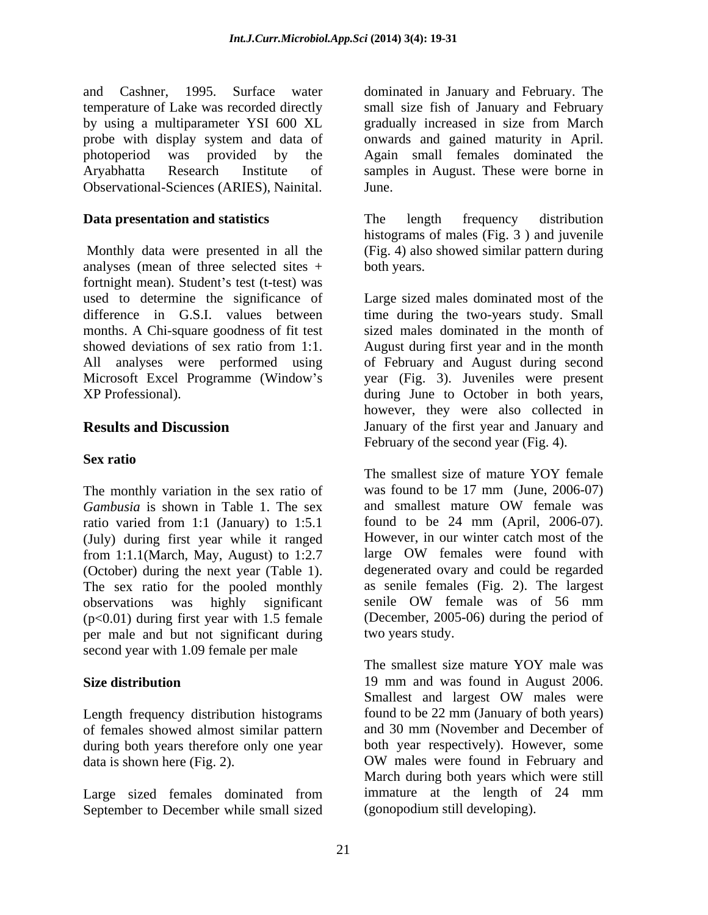and Cashner, 1995. Surface water dominated in January and February. The temperature of Lake was recorded directly small size fish of January and February by using a multiparameter YSI 600 XL gradually increased in size from March probe with display system and data of onwards and gained maturity in April. photoperiod was provided by the Again small females dominated the Aryabhatta Research Institute of samples in August. These were borne in Observational-Sciences (ARIES), Nainital.

Monthly data were presented in all the analyses (mean of three selected sites + fortnight mean). Student's test (t-test) was used to determine the significance of Large sized males dominated most of the difference in G.S.I. values between time during the two-years study. Small months. A Chi-square goodness of fit test sized males dominated in the month of showed deviations of sex ratio from 1:1. August during first year and in the month All analyses were performed using of February and August during second Microsoft Excel Programme (Window s year (Fig. 3). Juveniles were present XP Professional). during June to October in both years,

### **Sex ratio**

*Gambusia* is shown in Table 1. The sex (July) during first year while it ranged<br>  $\frac{1:1.1 \times 1}{1:1}$  However, in our winter catch most of the<br>  $\frac{1:1.1 \times 1}{1:1}$  However, in our winter catch most of the from 1:1.1(March, May, August) to 1:2.7 (October) during the next year (Table 1). The sex ratio for the pooled monthly observations was highly significant senile OW female was of 56 mm  $(p<0.01)$  during first year with 1.5 female per male and but not significant during second year with 1.09 female per male

Length frequency distribution histograms of females showed almost similar pattern during both years therefore only one year data is shown here (Fig. 2). OW males were found in February and

September to December while small sized

gradually increased in size from March **June.** 

**Data presentation and statistics** The length frequency distribution The length frequency distribution histograms of males (Fig. 3 ) and juvenile (Fig. 4) also showed similar pattern during both years.

**Results and Discussion January of the first year and January and** however, they were also collected in February of the second year (Fig. 4).

The monthly variation in the sex ratio of was found to be 17 mm (June, 2006-07)<br> *Gambusia* is shown in Table 1. The sex and smallest mature OW female was ratio varied from 1:1 (January) to 1:5.1 found to be 24 mm (April, 2006-07). The smallest size of mature YOY female was found to be 17 mm (June, 2006-07) and smallest mature OW female was found to be 24 mm (April, 2006-07). However, in our winter catch most of the large OW females were found with degenerated ovary and could be regarded as senile females (Fig. 2). The largest senile OW female was of 56 mm (December, 2005-06) during the period of two years study.

**Size distribution** 19 mm and was found in August 2006. Large sized females dominated from immature at the length of 24 mm The smallest size mature YOY male was Smallest and largest OW males were found to be 22 mm (January of both years) and 30 mm (November and December of both year respectively). However, some OW males were found in February and March during both years which were still immature at the length of 24 mm (gonopodium still developing).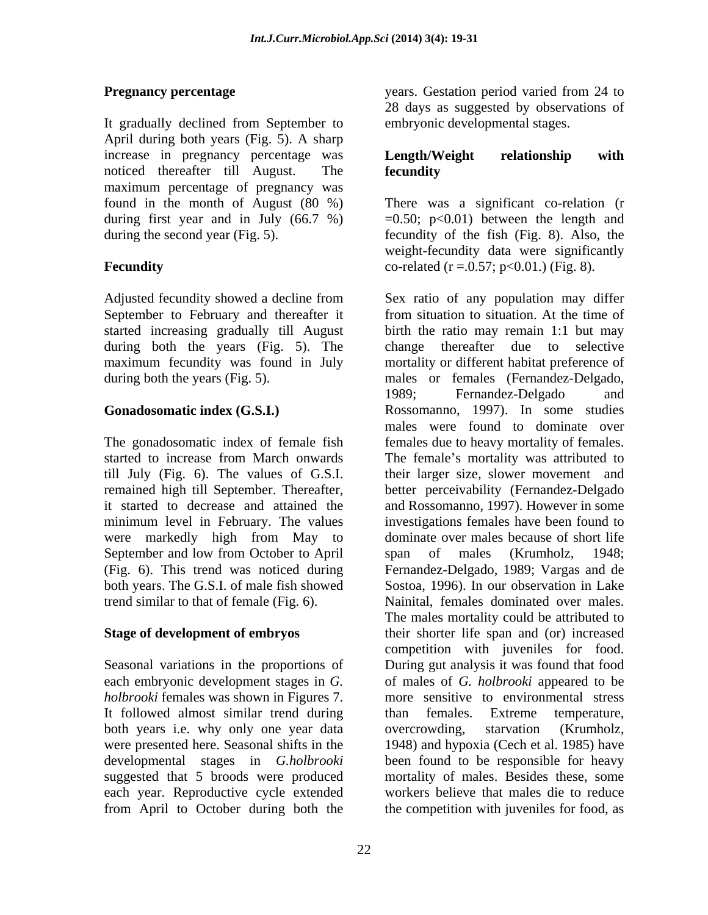It gradually declined from September to April during both years (Fig. 5). A sharp increase in pregnancy percentage was **Length/Weight relationship with** noticed thereafter till August. The maximum percentage of pregnancy was during first year and in July (66.7 %)

September to February and thereafter it from situation to situation. At the time of during both the years (Fig. 5). The change thereafter due to selective

minimum level in February. The values were markedly high from May to September and low from October to April span of males (Krumholz, 1948; both years. The G.S.I. of male fish showed

It followed almost similar trend during than females. Extreme temperature, both years i.e. why only one year data overcrowding, starvation (Krumholz,

**Pregnancy percentage** The Secret Secret Secret Secret Secret Secret Secret Secret Secret Secret Secret Secret Secret Secret Secret Secret Secret Secret Secret Secret Secret Secret Secret Secret Secret Secret Secret Secret 28 days as suggested by observations of embryonic developmental stages.

## **Length/Weight relationship with fecundity**

found in the month of August (80 %) There was a significant co-relation (r during the second year (Fig. 5). fecundity of the fish (Fig. 8). Also, the **Fecundity**  $\text{co-related (r = .0.57; p < 0.01.) (Fig. 8).}$  $=0.50$ ;  $p<0.01$ ) between the length and weight-fecundity data were significantly

Adjusted fecundity showed a decline from Sex ratio of any population may differ started increasing gradually till August birth the ratio may remain 1:1 but may maximum fecundity was found in July mortality or different habitat preference of during both the years (Fig. 5). The males or females (Fernandez-Delgado, **Gonadosomatic index (G.S.I.)** Rossomanno, 1997). In some studies The gonadosomatic index of female fish females due to heavy mortality of females. started to increase from March onwards The female's mortality was attributed to till July (Fig. 6). The values of G.S.I. their larger size, slower movement and remained high till September. Thereafter, better perceivability (Fernandez-Delgado it started to decrease and attained the and Rossomanno, 1997). However in some (Fig. 6). This trend was noticed during Fernandez-Delgado, 1989; Vargas and de trend similar to that of female (Fig. 6). Nainital, females dominated over males. **Stage of development of embryos** their shorter life span and (or) increased Seasonal variations in the proportions of During gut analysis it was found that food each embryonic development stages in *G.*  of males of *G. holbrooki* appeared to be *holbrooki* females was shown in Figures 7. more sensitive to environmental stress were presented here. Seasonal shifts in the 1948) and hypoxia (Cech et al. 1985) have developmental stages in *G.holbrooki* been found to be responsible for heavy suggested that 5 broods were produced mortality of males. Besides these, some each year. Reproductive cycle extended workers believe that males die to reduce from April to October during both the the competition with juveniles for food, asfrom situation to situation. At the time of change thereafter due to selective 1989; Fernandez-Delgado and males were found to dominate over investigations females have been found to dominate over males because of short life span of males (Krumholz, 1948; Sostoa, 1996). In our observation in Lake The males mortality could be attributed to competition with juveniles for food. than females. Extreme temperature, overcrowding, starvation (Krumholz,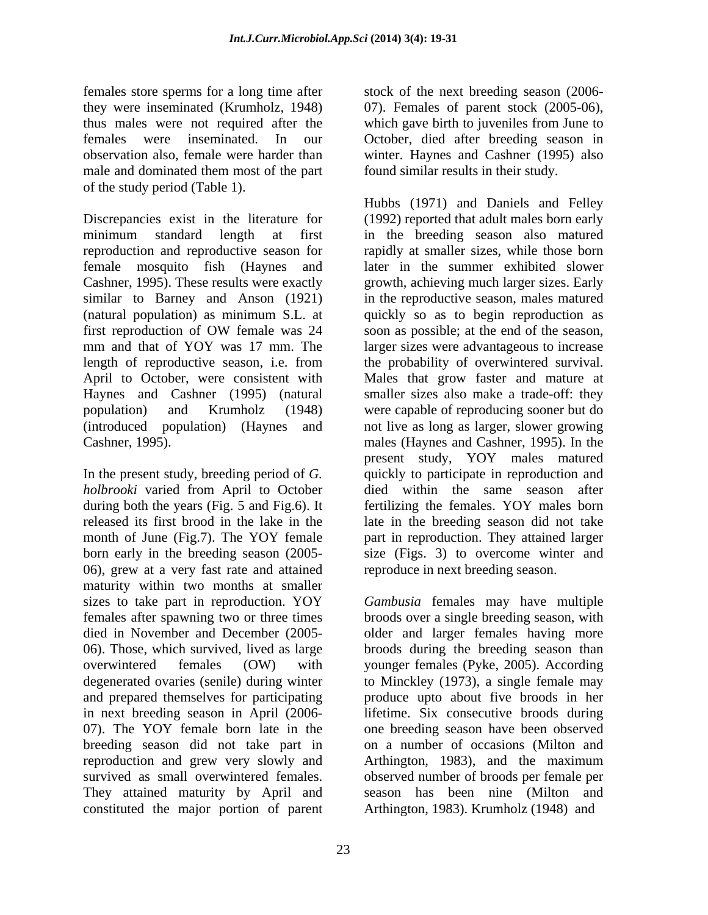females store sperms for a long time after stock of the next breeding season (2006they were inseminated (Krumholz, 1948) 07). Females of parent stock (2005-06), thus males were not required after the which gave birth to juveniles from June to females were inseminated. In our October, died after breeding season in observation also, female were harder than winter. Haynes and Cashner (1995) also male and dominated them most of the part of the study period (Table 1).

reproduction and reproductive season for female mosquito fish (Haynes and

In the present study, breeding period of *G. holbrooki* varied from April to October during both the years (Fig. 5 and Fig.6). It 06), grew at a very fast rate and attained maturity within two months at smaller sizes to take part in reproduction. YOY females after spawning two or three times broods over a single breeding season, with died in November and December (2005- older and larger females having more 06). Those, which survived, lived as large broods during the breeding season than overwintered females (OW) with younger females (Pyke, 2005). According degenerated ovaries (senile) during winter to Minckley (1973), a single female may and prepared themselves for participating produce upto about five broods in her in next breeding season in April (2006- lifetime. Six consecutive broods during 07). The YOY female born late in the one breeding season have been observed breeding season did not take part in reproduction and grew very slowly and Arthington, 1983), and the maximum survived as small overwintered females. observed number of broods per female per They attained maturity by April and season has been nine (Milton and constituted the major portion of parent

found similar results in their study.

Discrepancies exist in the literature for (1992) reported that adult males born early minimum standard length at first in the breeding season also matured Cashner, 1995). These results were exactly growth, achieving much larger sizes. Early similar to Barney and Anson (1921) in the reproductive season, males matured (natural population) as minimum S.L. at quickly so as to begin reproduction as first reproduction of OW female was 24 soon as possible; at the end of the season, mm and that of YOY was 17 mm. The larger sizes were advantageous to increase length of reproductive season, i.e. from the probability of overwintered survival. April to October, were consistent with Males that grow faster and mature at Haynes and Cashner (1995) (natural smaller sizes also make a trade-off: they population) and Krumholz (1948) were capable of reproducing sooner but do (introduced population) (Haynes and not live as long as larger, slower growing Cashner, 1995). males (Haynes and Cashner, 1995). In the released its first brood in the lake in the late in the breeding season did not take month of June (Fig.7). The YOY female part in reproduction. They attained larger born early in the breeding season (2005- size (Figs. 3) to overcome winter and Hubbs (1971) and Daniels and Felley rapidly at smaller sizes, while those born later in the summer exhibited slower soon as possible; at the end of the season, present study, YOY males matured quickly to participate in reproduction and died within the same season after fertilizing the females. YOY males born reproduce in next breeding season.

> *Gambusia* females may have multiple on a number of occasions (Milton and Arthington, 1983). Krumholz (1948) and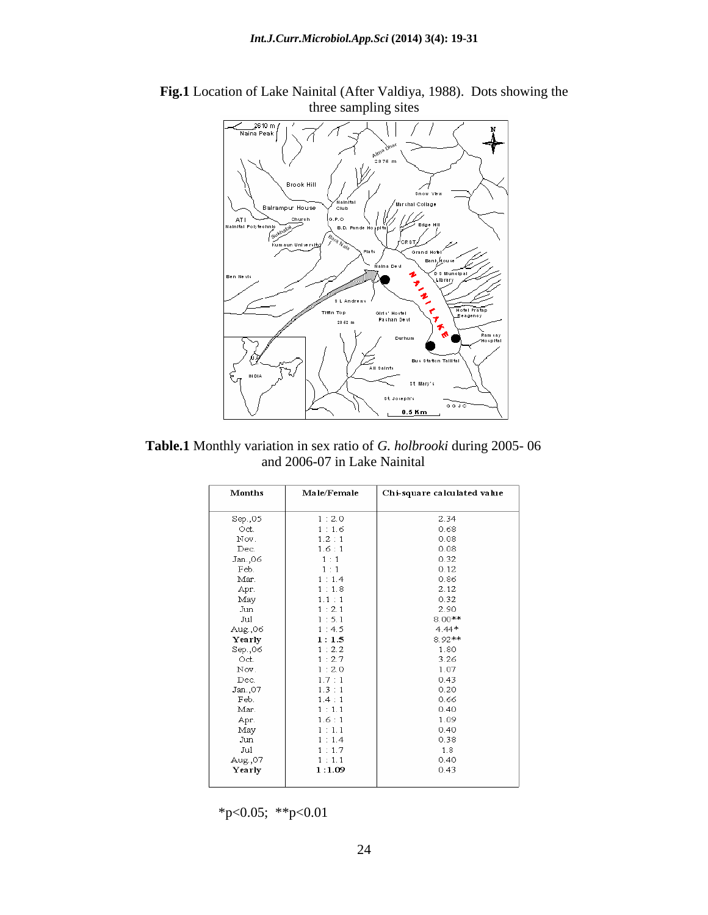

**Fig.1** Location of Lake Nainital (After Valdiya, 1988). Dots showing the three sampling sites

**Table.1** Monthly variation in sex ratio of *G. holbrooki* during 2005- 06 and 2006-07 in Lake Nainital

| <b>Months</b> | Male/Female | Chi-square calculated value |
|---------------|-------------|-----------------------------|
| Sep.,05       | 1:2.0       | 2.34                        |
| Oct.          | 1:1.6       | 0.68                        |
| Nov.          | 1.2 : 1     | 0.08                        |
| Dec.          | 1.6:1       | 0.08                        |
| Jan.,06       | 1:1         | 0.32                        |
| Feb.          | 1:1         | 0.12                        |
| Mar.          | 1:1.4       | 0.86                        |
| Apr.          | 1:1.8       | 2.12                        |
| May           | 1.1:1       | 0.32                        |
| Jun           | 1:2.1       | 2.90                        |
| Jul           | 1:5.1       | $8.00***$                   |
| Aug.,06       | 1:4.5       | $4.44*$                     |
| Yearly        | 1:1.5       | 8 92**                      |
| Sep.,06       | 1:2.2       | 1.80                        |
| Oct.          | 1:2.7       | 3.26                        |
| Nov.          | 1:2.0       | 1.07                        |
| Dec.          | 1.7:1       | 0.43                        |
| Jan.,07       | 1.3:1       | 0.20                        |
| Feb.          | 1.4:1       | 0.66                        |
| Mar.          | 1:1.1       | 0.40                        |
| Apr.          | 1.6:1       | 1.09                        |
| May           | 1:1.1       | 0.40                        |
| Jun           | 1:1.4       | 0.38                        |
| Jul           | 1:1.7       | 1.8                         |
| Aug.,07       | 1:1.1       | 0.40                        |
| Yearly        | 1:1.09      | 0.43                        |
|               |             |                             |

\*p<0.05; \*\*p<0.01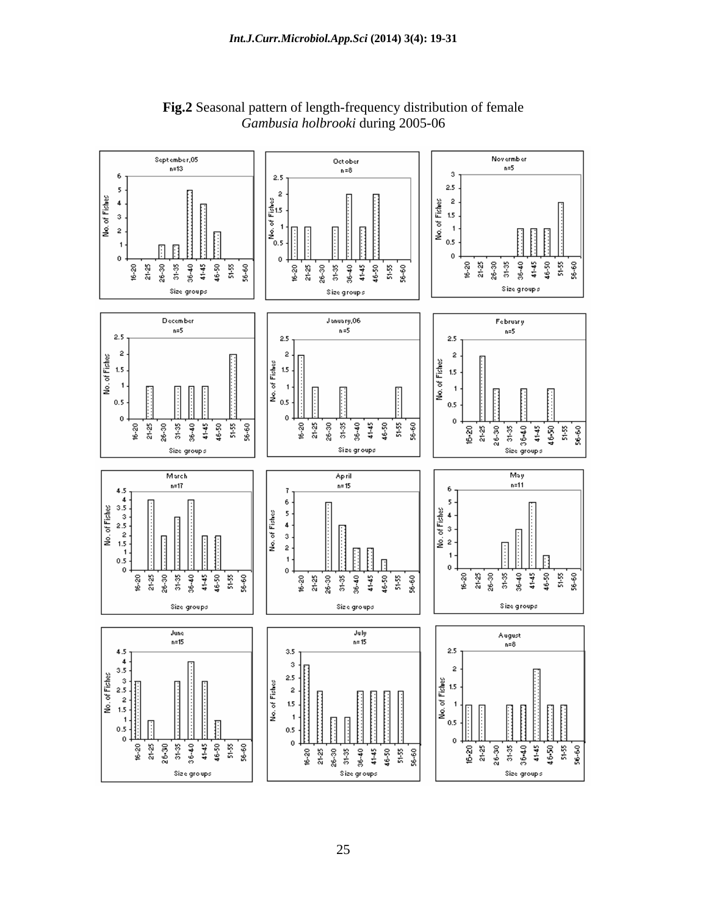

**Fig.2** Seasonal pattern of length-frequency distribution of female *Gambusia holbrooki* during 2005-06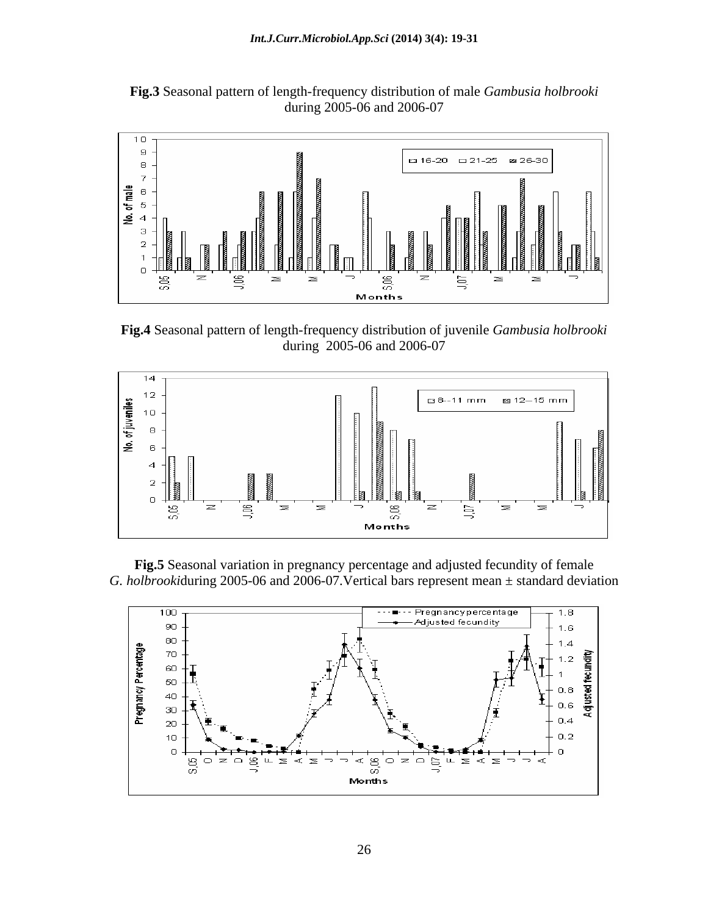**Fig.3** Seasonal pattern of length-frequency distribution of male *Gambusia holbrooki*  during 2005-06 and 2006-07



**Fig.4** Seasonal pattern of length-frequency distribution of juvenile *Gambusia holbrooki*  during 2005-06 and 2006-07



**Fig.5** Seasonal variation in pregnancy percentage and adjusted fecundity of female *G. holbrooki*during 2005-06 and 2006-07.Vertical bars represent mean ± standard deviation

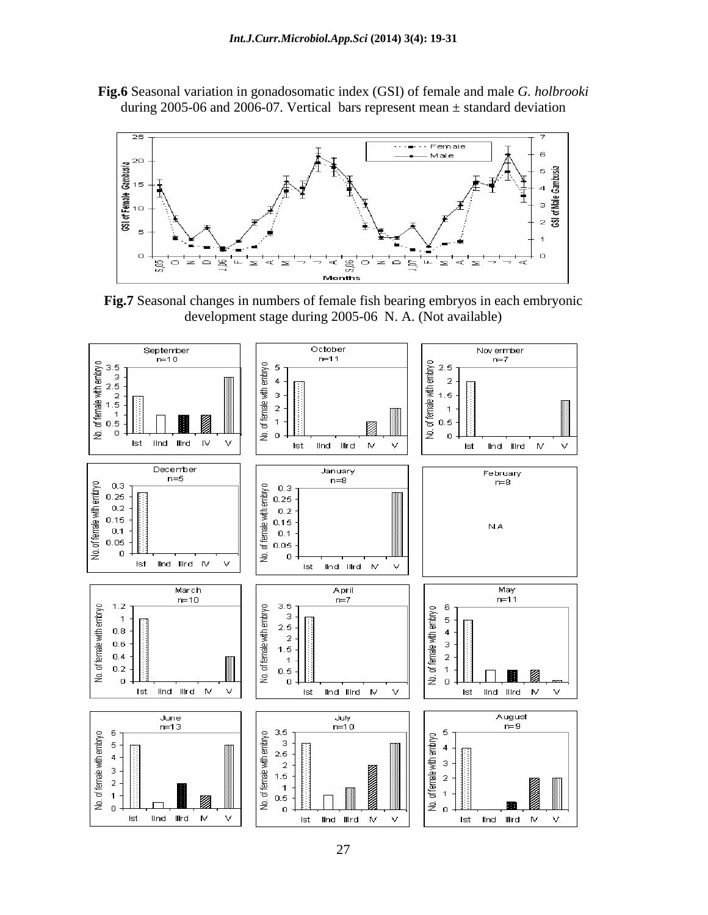**Fig.6** Seasonal variation in gonadosomatic index (GSI) of female and male *G. holbrooki*  during 2005-06 and 2006-07. Vertical bars represent mean  $\pm$  standard deviation



**Fig.7** Seasonal changes in numbers of female fish bearing embryos in each embryonic development stage during 2005-06 N. A. (Not available)

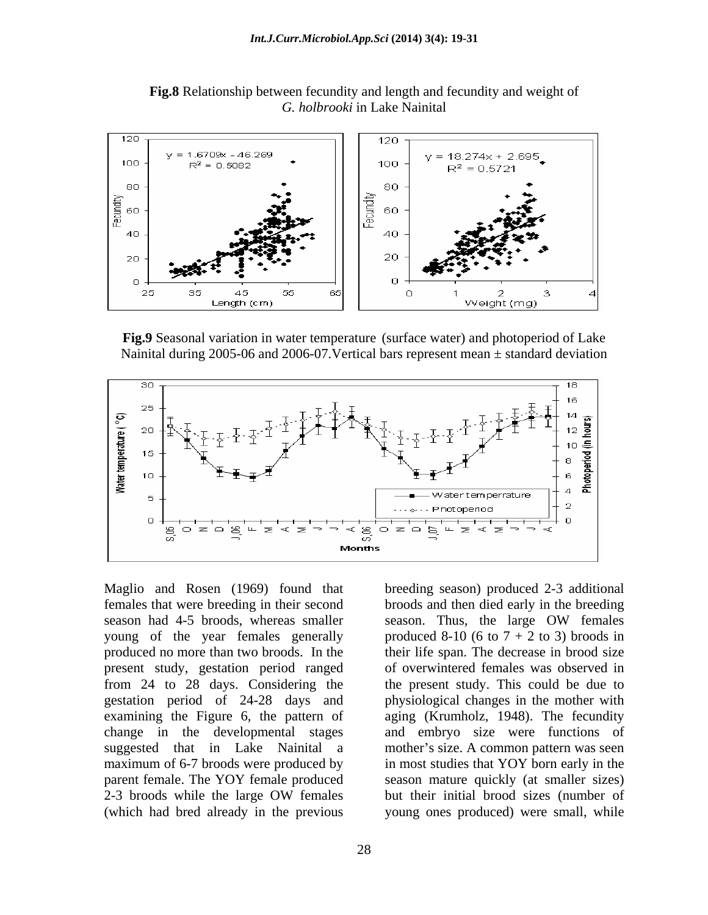

**Fig.8** Relationship between fecundity and length and fecundity and weight of *G. holbrooki* in Lake Nainital

**Fig.9** Seasonal variation in water temperature (surface water) and photoperiod of Lake Nainital during 2005-06 and 2006-07. Vertical bars represent mean  $\pm$  standard deviation



Maglio and Rosen (1969) found that breeding season) produced 2-3 additional females that were breeding in their second broods and then died early in the breeding season had 4-5 broods, whereas smaller season. Thus, the large OW females young of the year females generally produced  $8-10$  (6 to  $7 + 2$  to 3) broods in produced no more than two broods. In the their life span. The decrease in brood size present study, gestation period ranged from 24 to 28 days. Considering the the present study. This could be due to gestation period of 24-28 days and physiological changes in the mother with examining the Figure 6, the pattern of aging (Krumholz, 1948). The fecundity change in the developmental stages and embryo size were functions of suggested that in Lake Nainital a maximum of 6-7 broods were produced by in most studies that YOY born early in the parent female. The YOY female produced season mature quickly (at smaller sizes) 2-3 broods while the large OW females but their initial brood sizes (number of (which had bred already in the previous

season. Thus, the large OW females of overwintered females was observed in mother's size. A common pattern was seen but their initial brood sizes (number of young ones produced) were small, while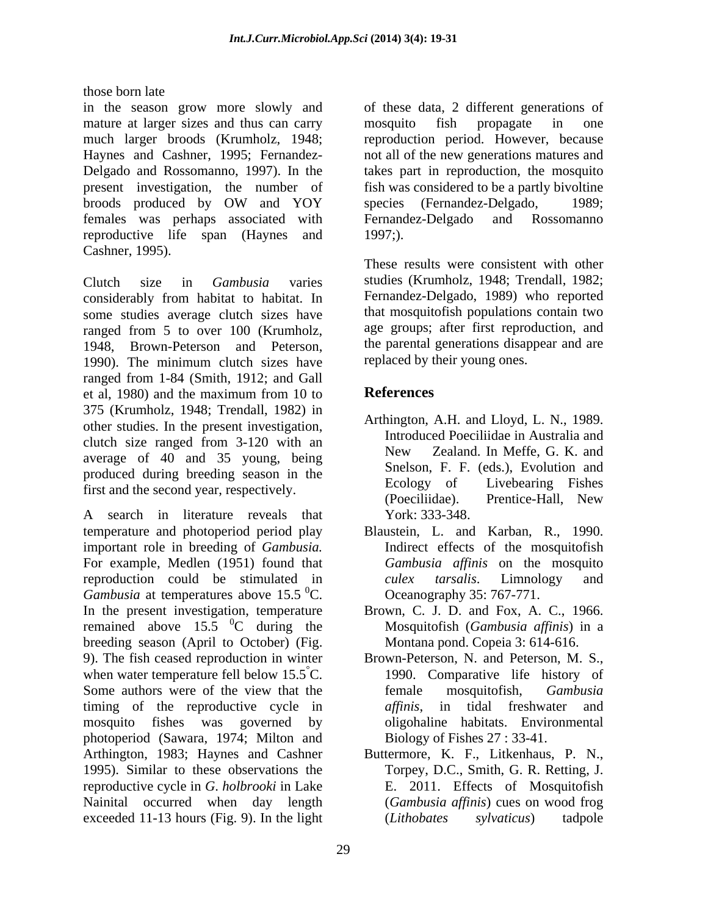those born late

in the season grow more slowly and of these data, 2 different generations of mature at larger sizes and thus can carry mosquito fish propagate in one much larger broods (Krumholz, 1948; reproduction period. However, because Haynes and Cashner, 1995; Fernandez- not all of the new generations matures and Delgado and Rossomanno, 1997). In the takes part in reproduction, the mosquito present investigation, the number of fish was considered to be a partly bivoltine broods produced by OW and YOY females was perhaps associated with reproductive life span (Haynes and 1997;). Cashner, 1995).

Clutch size in *Gambusia* varies studies (Krumholz, 1948; Trendall, 1982; considerably from habitat to habitat. In some studies average clutch sizes have ranged from 5 to over 100 (Krumholz, 1948, Brown-Peterson and Peterson, 1990). The minimum clutch sizes have ranged from 1-84 (Smith, 1912; and Gall et al, 1980) and the maximum from 10 to  $\blacksquare$  References 375 (Krumholz, 1948; Trendall, 1982) in other studies. In the present investigation, clutch size ranged from 3-120 with an and muroduced Poecinidae in Australia and  $\frac{10}{25}$  received below and New Zealand. In Meffe, G. K. and average of 40 and 35 young, being produced during breeding season in the Sherson, F. F. (eas.), Evolution and First and the aggregate memorialistic second that the season of the season of the season of the season of the season of the season of the season o

A search in literature reveals that temperature and photoperiod period play Blaustein, L. and Karban, R., 1990. important role in breeding of *Gambusia.* For example, Medlen (1951) found that reproduction could be stimulated in *culex tarsalis*. Limnology and *Gambusia* at temperatures above 15.5 <sup>0</sup>C. In the present investigation, temperature Brown, C. J. D. and Fox, A. C., 1966. remained above  $15.5 \text{ °C}$  during the breeding season (April to October) (Fig. 9). The fish ceased reproduction in winter when water temperature fell below  $15.5^{\circ}$ C. Some authors were of the view that the female mosquitofish, *Gambusia* timing of the reproductive cycle in *affinis*, in tidal freshwater and mosquito fishes was governed by oligohaline habitats. Environmental photoperiod (Sawara, 1974; Milton and Arthington, 1983; Haynes and Cashner Buttermore, K. F., Litkenhaus, P. N., 1995). Similar to these observations the reproductive cycle in *G*. *holbrooki* in Lake Nainital occurred when day length exceeded 11-13 hours (Fig. 9). In the light (Lithobates sylvaticus) tadpole

mosquito fish propagate in one species (Fernandez-Delgado, 1989; Fernandez-Delgado and Rossomanno 1997;).

These results were consistent with other Fernandez-Delgado, 1989) who reported that mosquitofish populations contain two age groups; after first reproduction, and the parental generations disappear and are replaced by their young ones.

## **References**

- first and the second year, respectively.<br>(Poeciliidae). Prentice-Hall, New Arthington, A.H. and Lloyd, L. N., 1989. Introduced Poeciliidae in Australia and New Zealand. In Meffe, G. K. and Snelson, F. F. (eds.), Evolution and Ecology of Livebearing Fishes (Poeciliidae). Prentice-Hall, New York: 333-348.
	- ${}^{0}C$ . Oceanography 35: 767-771. Indirect effects of the mosquitofish *Gambusia affinis* on the mosquito *culex tarsalis*. Limnology and
	- <sup>0</sup>C during the Mosquitofish (*Gambusia affinis*) in a Montana pond. Copeia 3: 614-616.
		- °C. 1990. Comparative life history of Brown-Peterson, N. and Peterson, M. S., female mosquitofish, *Gambusia affinis*, in tidal freshwater and Biology of Fishes 27 : 33-41.
			- Torpey, D.C., Smith, G. R. Retting, J. E. 2011. Effects of Mosquitofish (*Gambusia af inis*) cues on wood frog (*Lithobates sylvaticus*) tadpole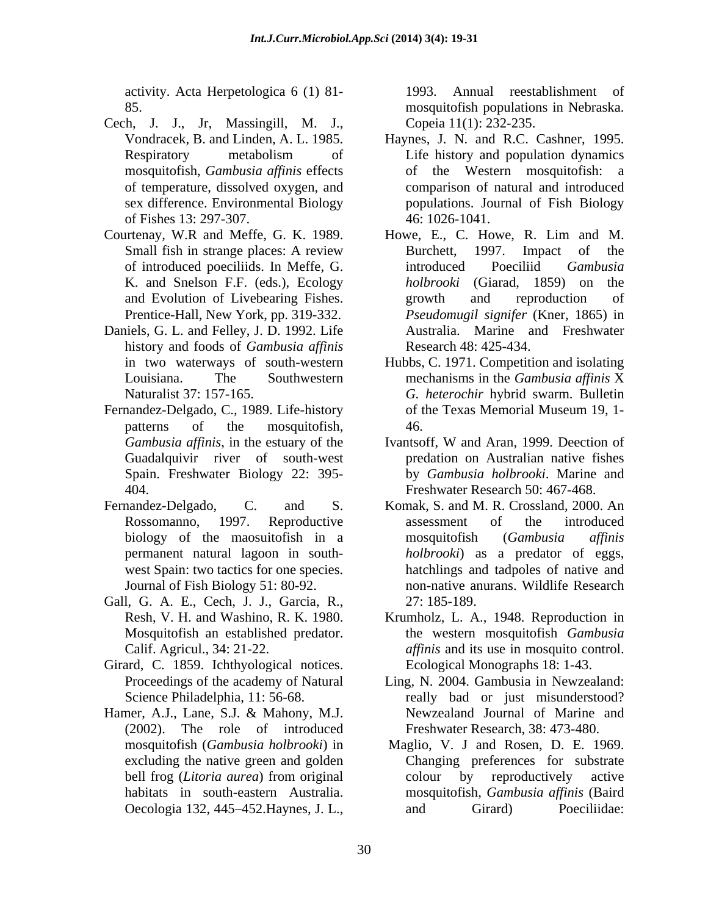activity. Acta Herpetologica 6 (1) 81-

- Cech, J. J., Jr, Massingill, M. J., mosquitofish, *Gambusia af inis* effects of Fishes 13: 297-307.
- Courtenay, W.R and Meffe, G. K. 1989. Howe, E., C. Howe, R. Lim and M. K. and Snelson F.F. (eds.), Ecology Prentice-Hall, New York, pp. 319-332.
- Daniels, G. L. and Felley, J. D. 1992. Life history and foods of *Gambusia af inis*
- Fernandez-Delgado, C., 1989. Life-history Spain. Freshwater Biology 22: 395-
- 
- Gall, G. A. E., Cech, J. J., Garcia, R., 27: 185-189.
- Girard, C. 1859. Ichthyological notices.
- (2002). The role of introduced habitats in south-eastern Australia.

85. mosquitofish populations in Nebraska. Annual reestablishment of Copeia 11(1): 232-235.

- Vondracek, B. and Linden, A. L. 1985. Haynes, J. N. and R.C. Cashner, 1995. Respiratory metabolism of Life history and population dynamics of temperature, dissolved oxygen, and comparison of natural and introduced sex difference. Environmental Biology populations. Journal of Fish Biology Life history and population dynamics of the Western mosquitofish: a 46: 1026-1041.
- Small fish in strange places: A review Burchett, 1997. Impact of the of introduced poeciliids. In Meffe, G. and Evolution of Livebearing Fishes. Howe, E., C. Howe, R. Lim and M. Burchett, 1997. Impact of the introduced Poeciliid *Gambusia holbrooki* (Giarad, 1859) on the growth and reproduction of *Pseudomugil signifer* (Kner, 1865) in Australia. Marine and Freshwater Research 48: 425-434.
- in two waterways of south-western Hubbs, C. 1971. Competition and isolating Louisiana. The Southwestern mechanisms in the *Gambusia affinis* X Naturalist 37: 157-165. *G. heterochir* hybrid swarm. Bulletin patterns of the mosquitofish, 46. mechanisms in the *Gambusia affinis* X of the Texas Memorial Museum 19, 1- 46.
- *Gambusia affinis*, in the estuary of the **IVantsoff**, W and Aran, 1999. Deection of Guadalquivir river of south-west predation on Australian native fishes 404. Freshwater Research 50: 467-468. Ivantsoff, W and Aran,1999. Deection of by *Gambusia holbrooki*. Marine and
- Fernandez-Delgado, C. and S. Komak, S. and M. R. Crossland, 2000. An Rossomanno, 1997. Reproductive assessment of the introduced biology of the maosuitofish in a mosquitofish (Gambusia affinis permanent natural lagoon in south- *holbrooki*) as a predator of eggs, west Spain: two tactics for one species. hatchlings and tadpoles of native and Journal of Fish Biology 51: 80-92. non-native anurans. Wildlife Research assessment of the introduced mosquitofish (*Gambusia af inis* 27: 185-189.
	- Resh, V. H. and Washino, R. K. 1980. Krumholz, L. A., 1948. Reproduction in Mosquitofish an established predator. the western mosquitofish *Gambusia*  Calif. Agricul., 34: 21-22. *affinis* and its use in mosquito control. Ecological Monographs 18: 1-43.
- Proceedings of the academy of Natural Ling, N. 2004. Gambusia in Newzealand: Science Philadelphia, 11: 56-68. The really bad or just misunderstood? Hamer, A.J., Lane, S.J. & Mahony, M.J. Newzealand Journal of Marine and Freshwater Research, 38: 473-480.
	- mosquitofish (*Gambusia holbrooki*) in Maglio, V. J and Rosen, D. E. 1969. excluding the native green and golden Changing preferences for substrate bell frog (*Litoria aurea*) from original Oecologia 132, 445–452. Haynes, J. L., and Girard Boeciliidae: colour by reproductively active mosquitofish, *Gambusia af inis* (Baird and Girard) Poeciliidae: